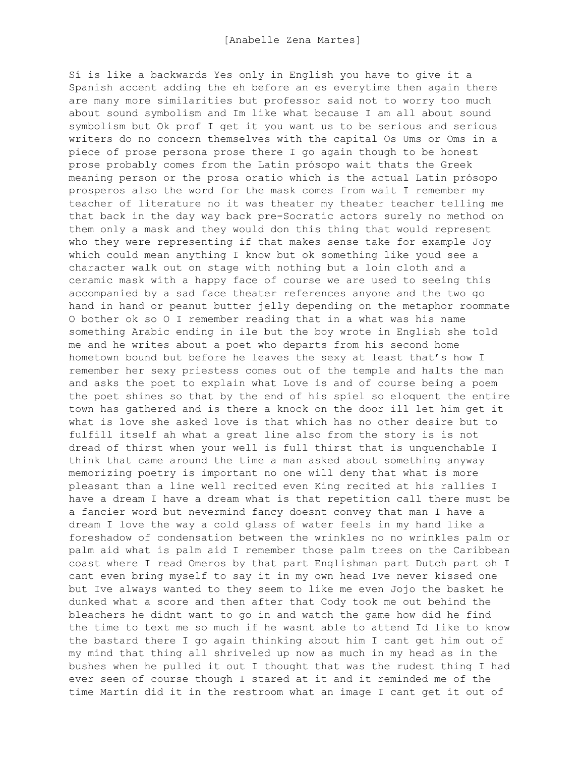Sí is like a backwards Yes only in English you have to give it a Spanish accent adding the eh before an es everytime then again there are many more similarities but professor said not to worry too much about sound symbolism and Im like what because I am all about sound symbolism but Ok prof I get it you want us to be serious and serious writers do no concern themselves with the capital Os Ums or Oms in a piece of prose persona prose there I go again though to be honest prose probably comes from the Latin prósopo wait thats the Greek meaning person or the prosa oratio which is the actual Latin prósopo prosperos also the word for the mask comes from wait I remember my teacher of literature no it was theater my theater teacher telling me that back in the day way back pre-Socratic actors surely no method on them only a mask and they would don this thing that would represent who they were representing if that makes sense take for example Joy which could mean anything I know but ok something like youd see a character walk out on stage with nothing but a loin cloth and a ceramic mask with a happy face of course we are used to seeing this accompanied by a sad face theater references anyone and the two go hand in hand or peanut butter jelly depending on the metaphor roommate O bother ok so O I remember reading that in a what was his name something Arabic ending in ile but the boy wrote in English she told me and he writes about a poet who departs from his second home hometown bound but before he leaves the sexy at least that's how I remember her sexy priestess comes out of the temple and halts the man and asks the poet to explain what Love is and of course being a poem the poet shines so that by the end of his spiel so eloquent the entire town has gathered and is there a knock on the door ill let him get it what is love she asked love is that which has no other desire but to fulfill itself ah what a great line also from the story is is not dread of thirst when your well is full thirst that is unquenchable I think that came around the time a man asked about something anyway memorizing poetry is important no one will deny that what is more pleasant than a line well recited even King recited at his rallies I have a dream I have a dream what is that repetition call there must be a fancier word but nevermind fancy doesnt convey that man I have a dream I love the way a cold glass of water feels in my hand like a foreshadow of condensation between the wrinkles no no wrinkles palm or palm aid what is palm aid I remember those palm trees on the Caribbean coast where I read Omeros by that part Englishman part Dutch part oh I cant even bring myself to say it in my own head Ive never kissed one but Ive always wanted to they seem to like me even Jojo the basket he dunked what a score and then after that Cody took me out behind the bleachers he didnt want to go in and watch the game how did he find the time to text me so much if he wasnt able to attend Id like to know the bastard there I go again thinking about him I cant get him out of my mind that thing all shriveled up now as much in my head as in the bushes when he pulled it out I thought that was the rudest thing I had ever seen of course though I stared at it and it reminded me of the time Martín did it in the restroom what an image I cant get it out of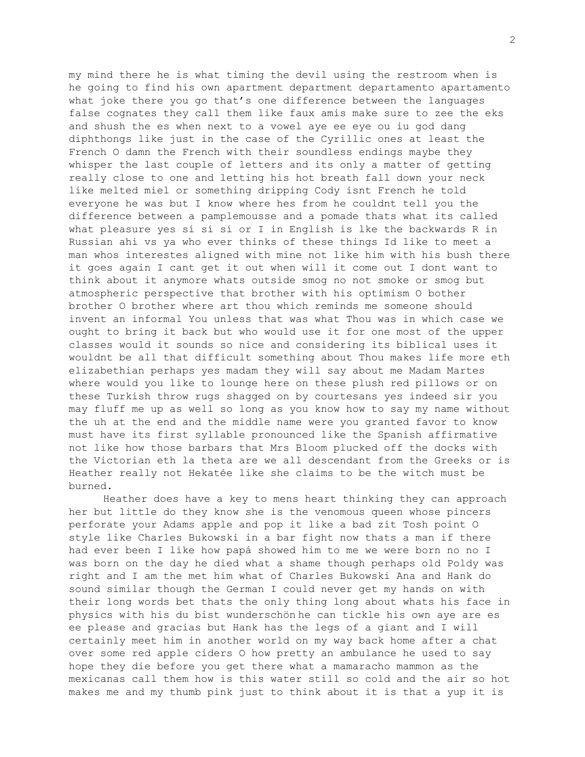my mind there he is what timing the devil using the restroom when is he going to find his own apartment department departamento apartamento what joke there you go that's one difference between the languages false cognates they call them like faux amis make sure to zee the eks and shush the es when next to a vowel aye ee eye ou iu god dang diphthongs like just in the case of the Cyrillic ones at least the French O damn the French with their soundless endings maybe they whisper the last couple of letters and its only a matter of getting really close to one and letting his hot breath fall down your neck like melted miel or something dripping Cody isnt French he told everyone he was but I know where hes from he couldnt tell you the difference between a pamplemousse and a pomade thats what its called what pleasure yes sí sí sí or I in English is lke the backwards R in Russian ahi vs ya who ever thinks of these things Id like to meet a man whos interestes aligned with mine not like him with his bush there it goes again I cant get it out when will it come out I dont want to think about it anymore whats outside smog no not smoke or smog but atmospheric perspective that brother with his optimism O bother brother O brother where art thou which reminds me someone should invent an informal You unless that was what Thou was in which case we ought to bring it back but who would use it for one most of the upper classes would it sounds so nice and considering its biblical uses it wouldnt be all that difficult something about Thou makes life more eth elizabethian perhaps yes madam they will say about me Madam Martes where would you like to lounge here on these plush red pillows or on these Turkish throw rugs shagged on by courtesans yes indeed sir you may fluff me up as well so long as you know how to say my name without the uh at the end and the middle name were you granted favor to know must have its first syllable pronounced like the Spanish affirmative not like how those barbars that Mrs Bloom plucked off the docks with the Victorian eth la theta are we all descendant from the Greeks or is Heather really not Hekatée like she claims to be the witch must be burned.

Heather does have a key to mens heart thinking they can approach her but little do they know she is the venomous queen whose pincers perforate your Adams apple and pop it like a bad zit Tosh point O style like Charles Bukowski in a bar fight now thats a man if there had ever been I like how papá showed him to me we were born no no I was born on the day he died what a shame though perhaps old Poldy was right and I am the met him what of Charles Bukowski Ana and Hank do sound similar though the German I could never get my hands on with their long words bet thats the only thing long about whats his face in physics with his du bist wunderschön he can tickle his own aye are es ee please and gracias but Hank has the legs of a giant and I will certainly meet him in another world on my way back home after a chat over some red apple ciders O how pretty an ambulance he used to say hope they die before you get there what a mamaracho mammon as the mexicanas call them how is this water still so cold and the air so hot makes me and my thumb pink just to think about it is that a yup it is